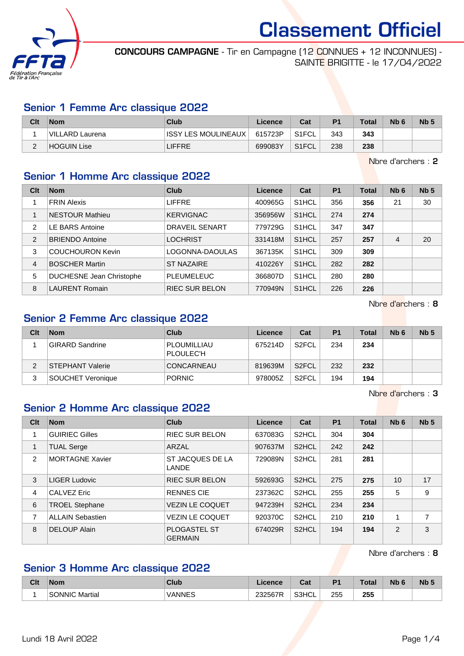

CONCOURS CAMPAGNE - Tir en Campagne (12 CONNUES + 12 INCONNUES) - SAINTE BRIGITTE - le 17/04/2022

#### Senior 1 Femme Arc classique 2022

| Clt | <b>Nom</b>      | Club                   | Licence | Cat   | P <sub>1</sub> | <b>Total</b> | N <sub>b</sub> 6 | N <sub>b</sub> <sub>5</sub> |
|-----|-----------------|------------------------|---------|-------|----------------|--------------|------------------|-----------------------------|
|     | VILLARD Laurena | IISSY LES MOULINEAUX I | 615723P | S1FCL | 343            | 343          |                  |                             |
|     | HOGUIN Lise     | <b>LIFFRE</b>          | 699083Y | S1FCL | 238            | 238          |                  |                             |

Nbre d'archers : 2

#### Senior 1 Homme Arc classique 2022

| Clt            | <b>Nom</b>                      | Club                  | Licence | Cat                | <b>P1</b> | <b>Total</b> | Nb <sub>6</sub> | Nb <sub>5</sub> |
|----------------|---------------------------------|-----------------------|---------|--------------------|-----------|--------------|-----------------|-----------------|
|                | <b>FRIN Alexis</b>              | <b>LIFFRE</b>         | 400965G | S <sub>1</sub> HCL | 356       | 356          | 21              | 30              |
| 1              | <b>NESTOUR Mathieu</b>          | <b>KERVIGNAC</b>      | 356956W | S <sub>1</sub> HCL | 274       | 274          |                 |                 |
| 2              | <b>LE BARS Antoine</b>          | <b>DRAVEIL SENART</b> | 779729G | S <sub>1</sub> HCL | 347       | 347          |                 |                 |
| $\overline{2}$ | <b>BRIENDO Antoine</b>          | <b>LOCHRIST</b>       | 331418M | S <sub>1</sub> HCL | 257       | 257          | 4               | 20              |
| 3              | <b>COUCHOURON Kevin</b>         | LOGONNA-DAOULAS       | 367135K | S <sub>1</sub> HCL | 309       | 309          |                 |                 |
| $\overline{4}$ | <b>BOSCHER Martin</b>           | <b>ST NAZAIRE</b>     | 410226Y | S <sub>1</sub> HCL | 282       | 282          |                 |                 |
| 5              | <b>DUCHESNE Jean Christophe</b> | <b>PLEUMELEUC</b>     | 366807D | S <sub>1</sub> HCL | 280       | 280          |                 |                 |
| 8              | <b>LAURENT Romain</b>           | <b>RIEC SUR BELON</b> | 770949N | S <sub>1</sub> HCL | 226       | 226          |                 |                 |

Nbre d'archers : 8

### Senior 2 Femme Arc classique 2022

| Clt | <b>Nom</b>        | Club                     | Licence | Cat                | P <sub>1</sub> | <b>Total</b> | N <sub>b</sub> 6 | Nb <sub>5</sub> |
|-----|-------------------|--------------------------|---------|--------------------|----------------|--------------|------------------|-----------------|
|     | GIRARD Sandrine   | PLOUMILLIAU<br>PLOULEC'H | 675214D | S <sub>2</sub> FCL | 234            | 234          |                  |                 |
| ົ   | STEPHANT Valerie  | <b>CONCARNEAU</b>        | 819639M | S <sub>2</sub> FCL | 232            | 232          |                  |                 |
| 3   | SOUCHET Veronique | <b>PORNIC</b>            | 978005Z | S <sub>2</sub> FCL | 194            | 194          |                  |                 |

Nbre d'archers : 3

#### Senior 2 Homme Arc classique 2022

| Clt | <b>Nom</b>              | <b>Club</b>                           | Licence | Cat                | <b>P1</b> | <b>Total</b> | Nb <sub>6</sub> | Nb <sub>5</sub> |
|-----|-------------------------|---------------------------------------|---------|--------------------|-----------|--------------|-----------------|-----------------|
|     | <b>GUIRIEC Gilles</b>   | <b>RIEC SUR BELON</b>                 | 637083G | S <sub>2</sub> HCL | 304       | 304          |                 |                 |
|     | <b>TUAL Serge</b>       | ARZAL                                 | 907637M | S <sub>2</sub> HCL | 242       | 242          |                 |                 |
| 2   | <b>MORTAGNE Xavier</b>  | ST JACQUES DE LA<br><b>LANDE</b>      | 729089N | S <sub>2</sub> HCL | 281       | 281          |                 |                 |
| 3   | LIGER Ludovic           | <b>RIEC SUR BELON</b>                 | 592693G | S <sub>2</sub> HCL | 275       | 275          | 10              | 17              |
| 4   | <b>CALVEZ Eric</b>      | <b>RENNES CIE</b>                     | 237362C | S <sub>2</sub> HCL | 255       | 255          | 5               | 9               |
| 6   | <b>TROEL Stephane</b>   | <b>VEZIN LE COQUET</b>                | 947239H | S <sub>2</sub> HCL | 234       | 234          |                 |                 |
| 7   | <b>ALLAIN Sebastien</b> | <b>VEZIN LE COQUET</b>                | 920370C | S <sub>2</sub> HCL | 210       | 210          |                 | 7               |
| 8   | <b>DELOUP Alain</b>     | <b>PLOGASTEL ST</b><br><b>GERMAIN</b> | 674029R | S <sub>2</sub> HCL | 194       | 194          | 2               | 3               |

Nbre d'archers : 8

## Senior 3 Homme Arc classique 2022

| Clt | <b>Nom</b>            | Club   | .icence                   | ่ ^^+<br>ual | D.  | Total      | <b>NIWC</b> | Nb <sub>5</sub> |
|-----|-----------------------|--------|---------------------------|--------------|-----|------------|-------------|-----------------|
|     | <b>SONNIC Martial</b> | VANNES | 232567R<br>ື<br>ZJZJU I N | S3HCL        | 255 | つらに<br>∠ບບ |             |                 |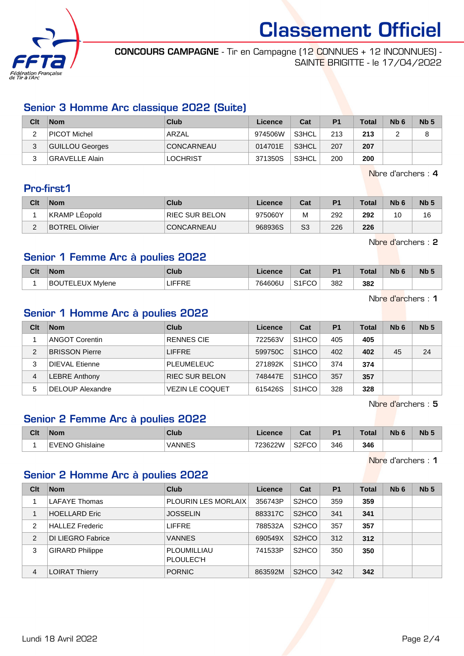

CONCOURS CAMPAGNE - Tir en Campagne (12 CONNUES + 12 INCONNUES) - SAINTE BRIGITTE - le 17/04/2022

### Senior 3 Homme Arc classique 2022 (Suite)

| Clt    | <b>Nom</b>      | Club              | Licence | Cat     | P <sub>1</sub> | <b>Total</b> | N <sub>b</sub> 6 | Nb <sub>5</sub> |
|--------|-----------------|-------------------|---------|---------|----------------|--------------|------------------|-----------------|
| ົ<br>৴ | PICOT Michel    | ARZAL             | 974506W | ' S3HCL | 213            | 213          |                  |                 |
| 3      | GUILLOU Georges | <b>CONCARNEAU</b> | 014701E | S3HCL   | 207            | 207          |                  |                 |
| າ<br>ن | GRAVELLE Alain  | <b>LOCHRIST</b>   | 371350S | S3HCL   | 200            | 200          |                  |                 |

Nbre d'archers : 4

### Pro-first1

| Clt | <b>Nom</b>            | Club           | Licence | Cat | P <sub>1</sub> | <b>Total</b> | N <sub>b</sub> <sub>6</sub> | Nb <sub>5</sub> |
|-----|-----------------------|----------------|---------|-----|----------------|--------------|-----------------------------|-----------------|
|     | KRAMP LEopold         | RIEC SUR BELON | 975060Y | M   | 292            | 292          | 10                          | 16              |
|     | <b>BOTREL Olivier</b> | CONCARNEAU     | 968936S | S3  | 226            | 226          |                             |                 |

Nbre d'archers : 2

#### Senior 1 Femme Arc à poulies 2022

| Clt | <b>Nom</b>                    | Club     | Licence | $R_{\rm eff}$<br>ual | D <sub>4</sub> | Total | <b>Nb</b> | N <sub>b</sub> 5 |
|-----|-------------------------------|----------|---------|----------------------|----------------|-------|-----------|------------------|
|     | ' EUX Mylene<br>ו⊐דו ור<br>BO | ╲∟<br>ы. | 764606L | 0.150<br>UU<br>ا ۱ ب | 382            | 382   |           |                  |

Nbre d'archers : 1

## Senior 1 Homme Arc à poulies 2022

| Clt | <b>Nom</b>            | Club                   | Licence | Cat                | P <sub>1</sub> | <b>Total</b> | N <sub>b</sub> 6 | Nb <sub>5</sub> |
|-----|-----------------------|------------------------|---------|--------------------|----------------|--------------|------------------|-----------------|
|     | ANGOT Corentin        | <b>RENNES CIE</b>      | 722563V | S <sub>1</sub> HCO | 405            | 405          |                  |                 |
| 2   | <b>BRISSON Pierre</b> | <b>LIFFRE</b>          | 599750C | S <sub>1</sub> HCO | 402            | 402          | 45               | 24              |
| 3   | <b>DIEVAL Etienne</b> | <b>PLEUMELEUC</b>      | 271892K | S <sub>1</sub> HCO | 374            | 374          |                  |                 |
| 4   | <b>LEBRE Anthony</b>  | <b>RIEC SUR BELON</b>  | 748447E | S <sub>1</sub> HCO | 357            | 357          |                  |                 |
| 5   | DELOUP Alexandre      | <b>VEZIN LE COQUET</b> | 615426S | S <sub>1</sub> HCO | 328            | 328          |                  |                 |

Nbre d'archers : 5

#### Senior 2 Femme Arc à poulies 2022

| Clt | <b>Nom</b>         | <b>Club</b> | Licence | <b>Table</b><br>⊍ou | D <sub>1</sub> | Total | <b>N<sub>b</sub></b> | N <sub>b</sub> 5 |
|-----|--------------------|-------------|---------|---------------------|----------------|-------|----------------------|------------------|
|     | EVENO<br>Ghislaine | VANNES      | 723622W | S2FCC<br>◡◡         | 346            | 346   |                      |                  |

Nbre d'archers : 1

## Senior 2 Homme Arc à poulies 2022

| Clt            | <b>Nom</b>             | <b>Club</b>                     | Licence | Cat                            | P <sub>1</sub> | <b>Total</b> | Nb <sub>6</sub> | Nb <sub>5</sub> |
|----------------|------------------------|---------------------------------|---------|--------------------------------|----------------|--------------|-----------------|-----------------|
|                | <b>LAFAYE Thomas</b>   | <b>PLOURIN LES MORLAIX</b>      | 356743P | S <sub>2</sub> H <sub>CO</sub> | 359            | 359          |                 |                 |
|                | <b>HOELLARD Eric</b>   | <b>JOSSELIN</b>                 | 883317C | S <sub>2</sub> HCO             | 341            | 341          |                 |                 |
| $\overline{2}$ | <b>HALLEZ Frederic</b> | <b>LIFFRE</b>                   | 788532A | S <sub>2</sub> H <sub>CO</sub> | 357            | 357          |                 |                 |
| 2              | DI LIEGRO Fabrice      | <b>VANNES</b>                   | 690549X | S <sub>2</sub> HCO             | 312            | 312          |                 |                 |
| 3              | <b>GIRARD Philippe</b> | PLOUMILLIAU<br><b>PLOULEC'H</b> | 741533P | S <sub>2</sub> H <sub>CO</sub> | 350            | 350          |                 |                 |
| 4              | <b>LOIRAT Thierry</b>  | <b>PORNIC</b>                   | 863592M | S <sub>2</sub> HCO             | 342            | 342          |                 |                 |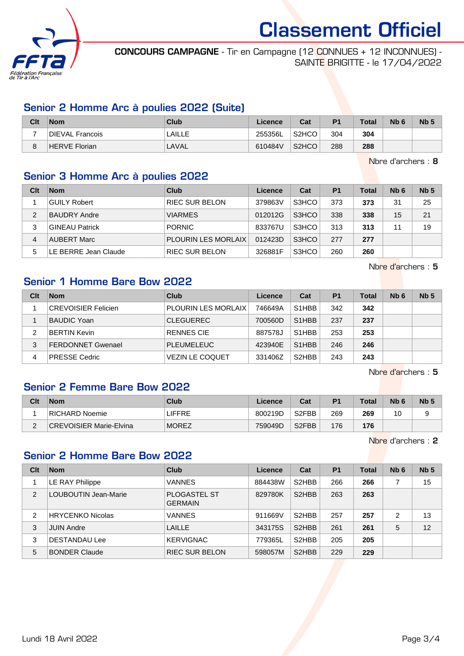

CONCOURS CAMPAGNE - Tir en Campagne (12 CONNUES + 12 INCONNUES) - SAINTE BRIGITTE - le 17/04/2022

#### Senior 2 Homme Arc à poulies 2022 (Suite)

| Clt | <b>Nom</b>      | Club   | Licence | Cat                | P <sub>1</sub> | <b>Total</b> | Nb <sub>6</sub> | N <sub>b</sub> 5 |
|-----|-----------------|--------|---------|--------------------|----------------|--------------|-----------------|------------------|
|     | DIEVAL Francois | LAILLE | 255356L | S <sub>2</sub> HCO | 304            | 304          |                 |                  |
|     | HERVE Florian   | LAVAL  | 610484V | S <sub>2</sub> HCO | 288            | 288          |                 |                  |

Nbre d'archers : 8

## Senior 3 Homme Arc à poulies 2022

| Clt | <b>Nom</b>            | Club                       | Licence | Cat   | P <sub>1</sub> | <b>Total</b> | Nb <sub>6</sub> | Nb <sub>5</sub> |
|-----|-----------------------|----------------------------|---------|-------|----------------|--------------|-----------------|-----------------|
|     | <b>GUILY Robert</b>   | <b>RIEC SUR BELON</b>      | 379863V | S3HCO | 373            | 373          | 31              | 25              |
| 2   | <b>BAUDRY Andre</b>   | <b>VIARMES</b>             | 012012G | S3HCO | 338            | 338          | 15              | 21              |
| 3   | <b>GINEAU Patrick</b> | <b>PORNIC</b>              | 833767U | S3HCO | 313            | 313          | 11              | 19              |
| 4   | <b>AUBERT Marc</b>    | <b>PLOURIN LES MORLAIX</b> | 012423D | S3HCO | 277            | 277          |                 |                 |
| 5   | LE BERRE Jean Claude  | <b>RIEC SUR BELON</b>      | 326881F | S3HCO | 260            | 260          |                 |                 |

Nbre d'archers : 5

## Senior 1 Homme Bare Bow 2022

| Clt | <b>Nom</b>                 | Club                       | Licence | Cat                             | P <sub>1</sub> | <b>Total</b> | Nb <sub>6</sub> | Nb <sub>5</sub> |
|-----|----------------------------|----------------------------|---------|---------------------------------|----------------|--------------|-----------------|-----------------|
|     | <b>CREVOISIER Felicien</b> | <b>PLOURIN LES MORLAIX</b> | 746649A | S <sub>1</sub> H <sub>B</sub> B | 342            | 342          |                 |                 |
|     | <b>BAUDIC Yoan</b>         | <b>CLEGUEREC</b>           | 700560D | S <sub>1</sub> H <sub>BB</sub>  | 237            | 237          |                 |                 |
|     | <b>BERTIN Kevin</b>        | <b>RENNES CIE</b>          | 887578J | S <sub>1</sub> H <sub>B</sub> B | 253            | 253          |                 |                 |
| 3   | <b>FERDONNET Gwenael</b>   | <b>PLEUMELEUC</b>          | 423940E | S <sub>1</sub> H <sub>BB</sub>  | 246            | 246          |                 |                 |
| 4   | <b>PRESSE Cedric</b>       | <b>VEZIN LE COQUET</b>     | 331406Z | S <sub>2</sub> HBB              | 243            | 243          |                 |                 |

Nbre d'archers : 5

#### Senior 2 Femme Bare Bow 2022

| Clt | <b>Nom</b>                     | Club   | Licence | Cat                | P <sub>1</sub> | Total | Nb <sub>6</sub> | N <sub>b</sub> <sub>5</sub> |
|-----|--------------------------------|--------|---------|--------------------|----------------|-------|-----------------|-----------------------------|
|     | RICHARD Noemie                 | LIFFRE | 800219D | S <sub>2</sub> FBB | 269            | 269   | 10              |                             |
| -   | <b>CREVOISIER Marie-Elvina</b> | MOREZ  | 759049D | S <sub>2</sub> FBB | 176            | 176   |                 |                             |

Nbre d'archers : 2

#### Senior 2 Homme Bare Bow 2022

| Clt            | <b>Nom</b>              | Club                                  | Licence | Cat                | P <sub>1</sub> | Total | Nb <sub>6</sub> | Nb <sub>5</sub> |
|----------------|-------------------------|---------------------------------------|---------|--------------------|----------------|-------|-----------------|-----------------|
|                | LE RAY Philippe         | <b>VANNES</b>                         | 884438W | S <sub>2</sub> HBB | 266            | 266   |                 | 15              |
| $\overline{2}$ | LOUBOUTIN Jean-Marie    | <b>PLOGASTEL ST</b><br><b>GERMAIN</b> | 829780K | S <sub>2</sub> HBB | 263            | 263   |                 |                 |
| 2              | <b>HRYCENKO Nicolas</b> | <b>VANNES</b>                         | 911669V | S <sub>2</sub> HBB | 257            | 257   | 2               | 13              |
| 3              | <b>JUIN Andre</b>       | <b>LAILLE</b>                         | 343175S | S <sub>2</sub> HBB | 261            | 261   | 5               | 12              |
| 3              | <b>DESTANDAU Lee</b>    | <b>KERVIGNAC</b>                      | 779365L | S <sub>2</sub> HBB | 205            | 205   |                 |                 |
| 5              | <b>BONDER Claude</b>    | <b>RIEC SUR BELON</b>                 | 598057M | S <sub>2</sub> HBB | 229            | 229   |                 |                 |